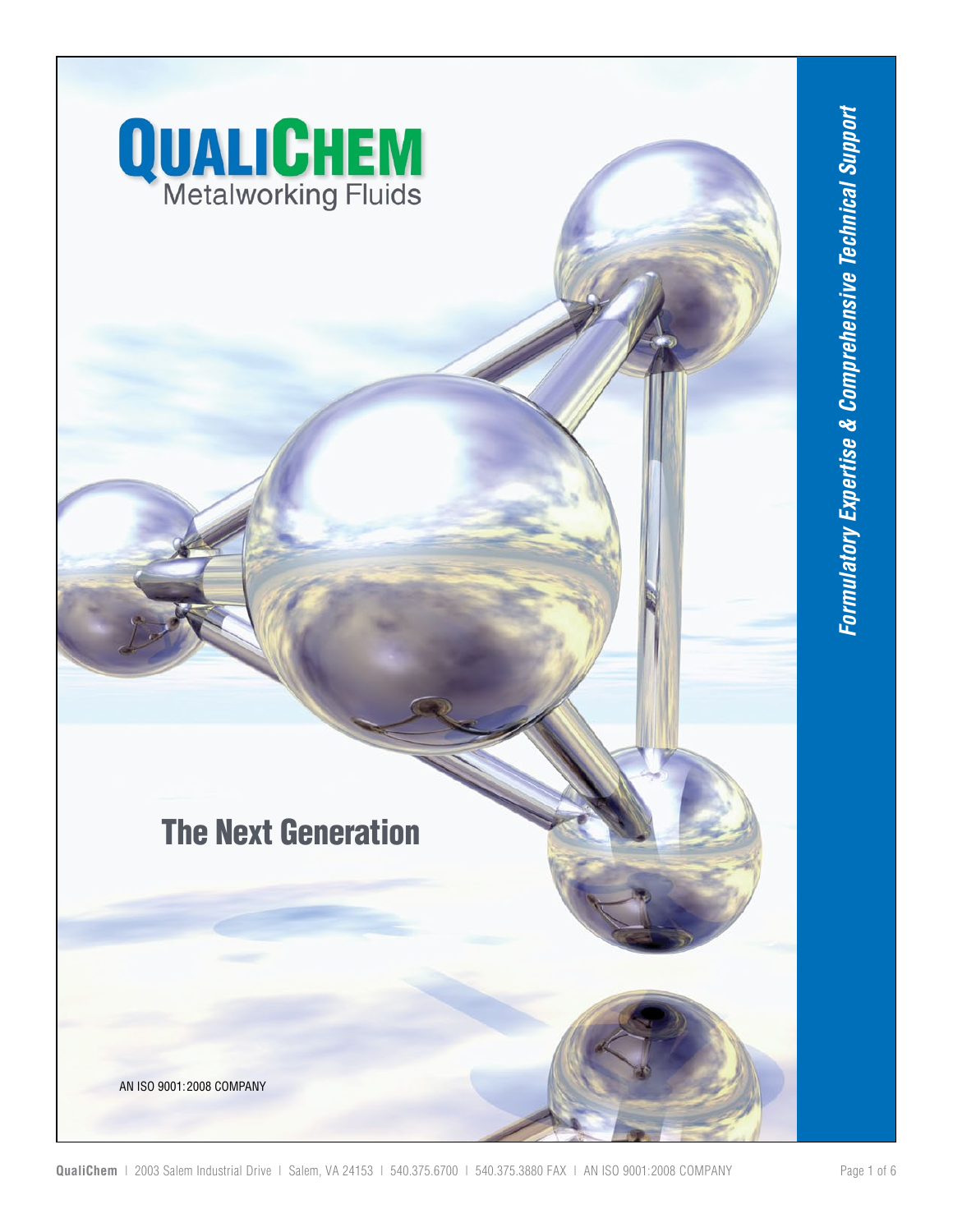

# **The Next Generation**

AN ISO 9001:2008 COMPANY

QualiChem | 2003 Salem Industrial Drive | Salem, VA 24153 | 540.375.6700 | 540.375.3880 FAX | AN ISO 9001:2008 COMPANY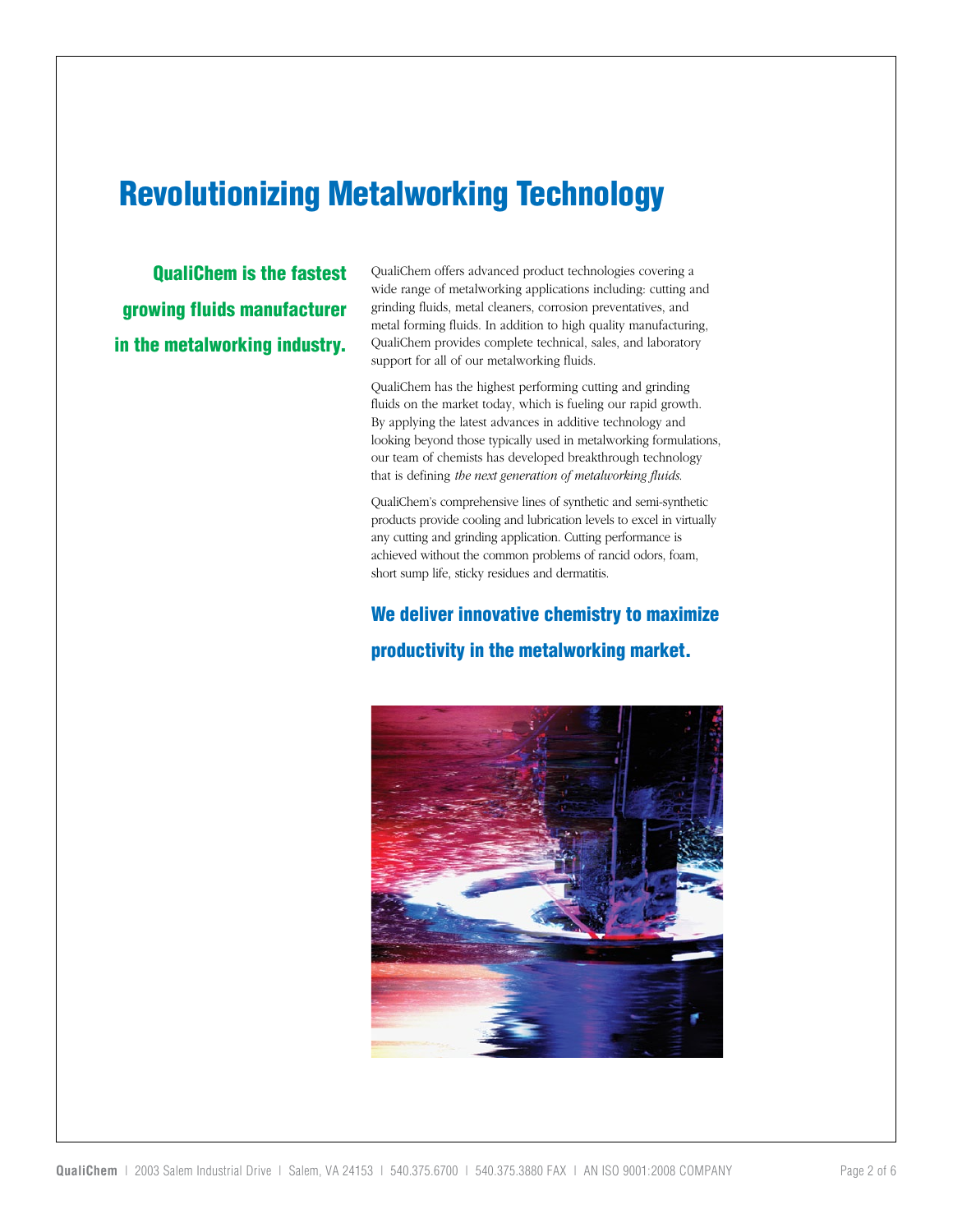### Revolutionizing Metalworking Technology

QualiChem is the fastest growing fluids manufacturer in the metalworking industry. QualiChem offers advanced product technologies covering a wide range of metalworking applications including: cutting and grinding fluids, metal cleaners, corrosion preventatives, and metal forming fluids. In addition to high quality manufacturing, QualiChem provides complete technical, sales, and laboratory support for all of our metalworking fluids.

QualiChem has the highest performing cutting and grinding fluids on the market today, which is fueling our rapid growth. By applying the latest advances in additive technology and looking beyond those typically used in metalworking formulations, our team of chemists has developed breakthrough technology that is defining *the next generation of metalworking fluids*.

QualiChem's comprehensive lines of synthetic and semi-synthetic products provide cooling and lubrication levels to excel in virtually any cutting and grinding application. Cutting performance is achieved without the common problems of rancid odors, foam, short sump life, sticky residues and dermatitis.

### We deliver innovative chemistry to maximize productivity in the metalworking market.

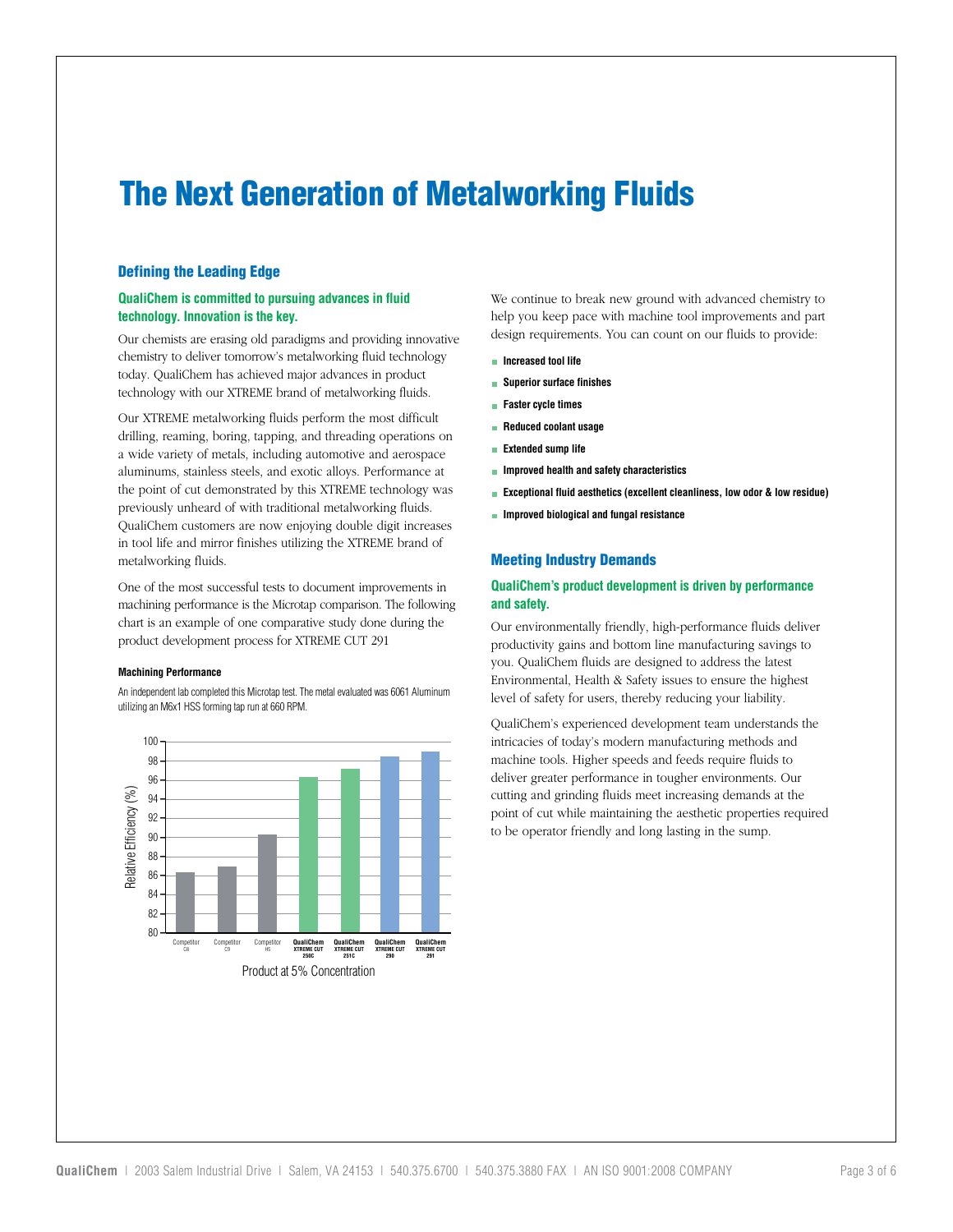## The Next Generation of Metalworking Fluids

#### Defining the Leading Edge

#### **QualiChem is committed to pursuing advances in fluid technology. Innovation is the key.**

Our chemists are erasing old paradigms and providing innovative chemistry to deliver tomorrow's metalworking fluid technology today. QualiChem has achieved major advances in product technology with our XTREME brand of metalworking fluids.

Our XTREME metalworking fluids perform the most difficult drilling, reaming, boring, tapping, and threading operations on a wide variety of metals, including automotive and aerospace aluminums, stainless steels, and exotic alloys. Performance at the point of cut demonstrated by this XTREME technology was previously unheard of with traditional metalworking fluids. QualiChem customers are now enjoying double digit increases in tool life and mirror finishes utilizing the XTREME brand of metalworking fluids.

One of the most successful tests to document improvements in machining performance is the Microtap comparison. The following chart is an example of one comparative study done during the product development process for XTREME CUT 291

#### **Machining Performance**

An independent lab completed this Microtap test. The metalevaluated was 6061 Aluminum utilizing an M6x1 HSS forming tap run at 660 RPM.



We continue to break new ground with advanced chemistry to help you keep pace with machine tool improvements and part design requirements. You can count on our fluids to provide:

- **Increased tool life**
- **Superior surface finishes**
- **Faster cycle times**
- **Reduced coolant usage**
- **Extended sump life**
- **Improved health and safety characteristics**
- **Exceptional fluid aesthetics (excellent cleanliness, low odor & low residue)**
- **Improved biological and fungal resistance**

#### Meeting Industry Demands

#### **QualiChem's product development is driven by performance and safety.**

Our environmentally friendly, high-performance fluids deliver productivity gains and bottom line manufacturing savings to you. QualiChem fluids are designed to address the latest Environmental, Health & Safety issues to ensure the highest level of safety for users, thereby reducing your liability.

QualiChem's experienced development team understands the intricacies of today's modern manufacturing methods and machine tools. Higher speeds and feeds require fluids to deliver greater performance in tougher environments. Our cutting and grinding fluids meet increasing demands at the point of cut while maintaining the aesthetic properties required to be operator friendly and long lasting in the sump.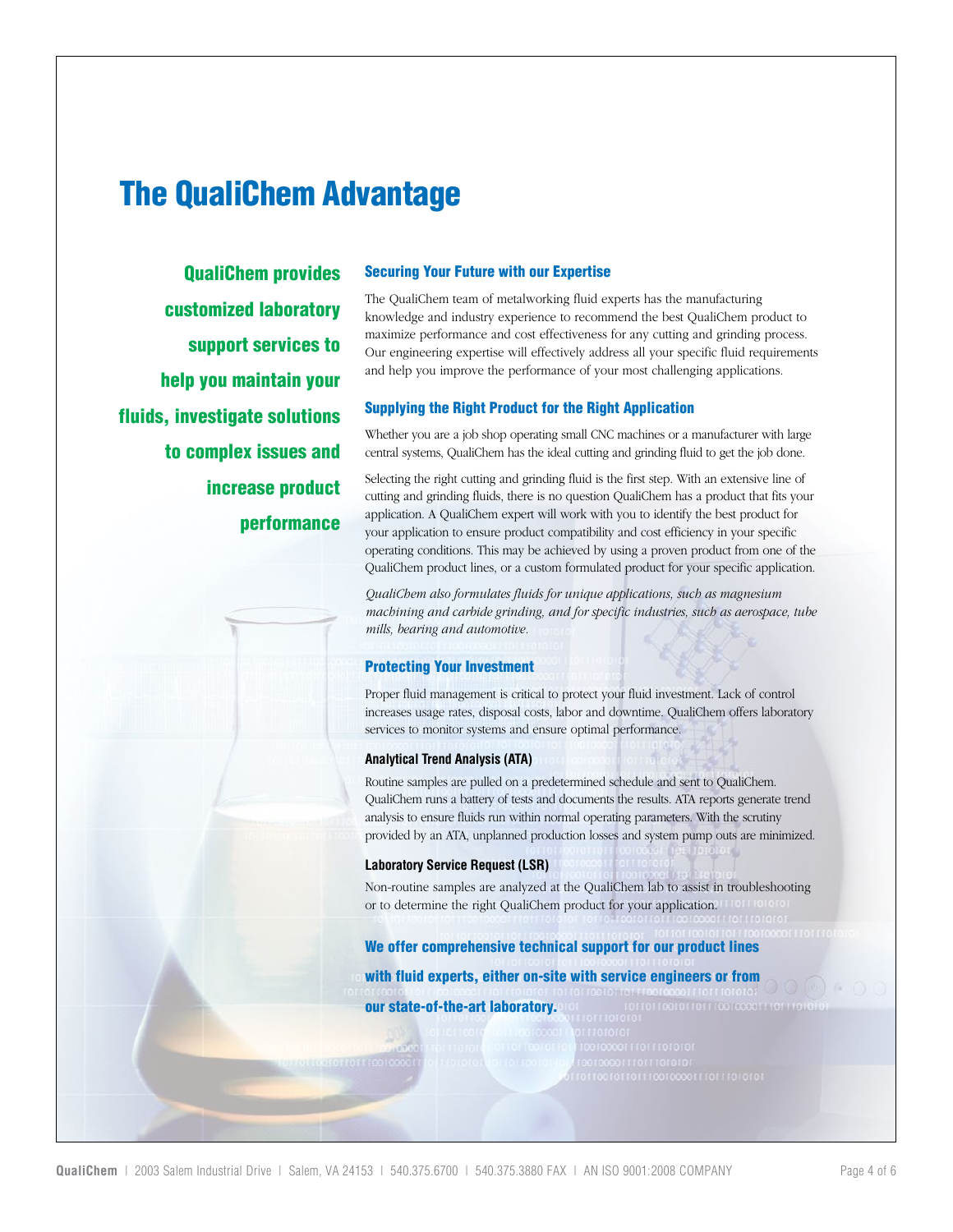### The QualiChem Advantage

QualiChem provides customized laboratory support services to help you maintain your fluids, investigate solutions to complex issues and increase product performance

#### Securing Your Future with our Expertise

The QualiChem team of metalworking fluid experts has the manufacturing knowledge and industry experience to recommend the best QualiChem product to maximize performance and cost effectiveness for any cutting and grinding process. Our engineering expertise will effectively address all your specific fluid requirements and help you improve the performance of your most challenging applications.

#### Supplying the Right Product for the Right Application

Whether you are a job shop operating small CNC machines or a manufacturer with large central systems, QualiChem has the ideal cutting and grinding fluid to get the job done.

Selecting the right cutting and grinding fluid is the first step. With an extensive line of cutting and grinding fluids, there is no question QualiChem has a product that fits your application. A QualiChem expert will work with you to identify the best product for your application to ensure product compatibility and cost efficiency in your specific operating conditions. This may be achieved by using a proven product from one of the QualiChem product lines, or a custom formulated product for your specific application.

*QualiChem also formulates fluids for unique applications, such as magnesium machining and carbide grinding, and for specific industries, such as aerospace, tube mills, bearing and automotive.*

#### Protecting Your Investment

Proper fluid management is critical to protect your fluid investment. Lack of control increases usage rates, disposal costs, labor and downtime. QualiChem offers laboratory services to monitor systems and ensure optimal performance.

#### **Analytical Trend Analysis (ATA)**

Routine samples are pulled on a predetermined schedule and sent to QualiChem. QualiChem runs a battery of tests and documents the results. ATA reports generate trend analysis to ensure fluids run within normal operating parameters. With the scrutiny provided by an ATA, unplanned production losses and system pump outs are minimized.

#### **Laboratory Service Request (LSR)**

Non-routine samples are analyzed at the QualiChem lab to assist in troubleshooting or to determine the right QualiChem product for your application.

#### We offer comprehensive technical support for our product lines

with fluid experts, either on-site with service engineers or from our state-of-the-art laboratory.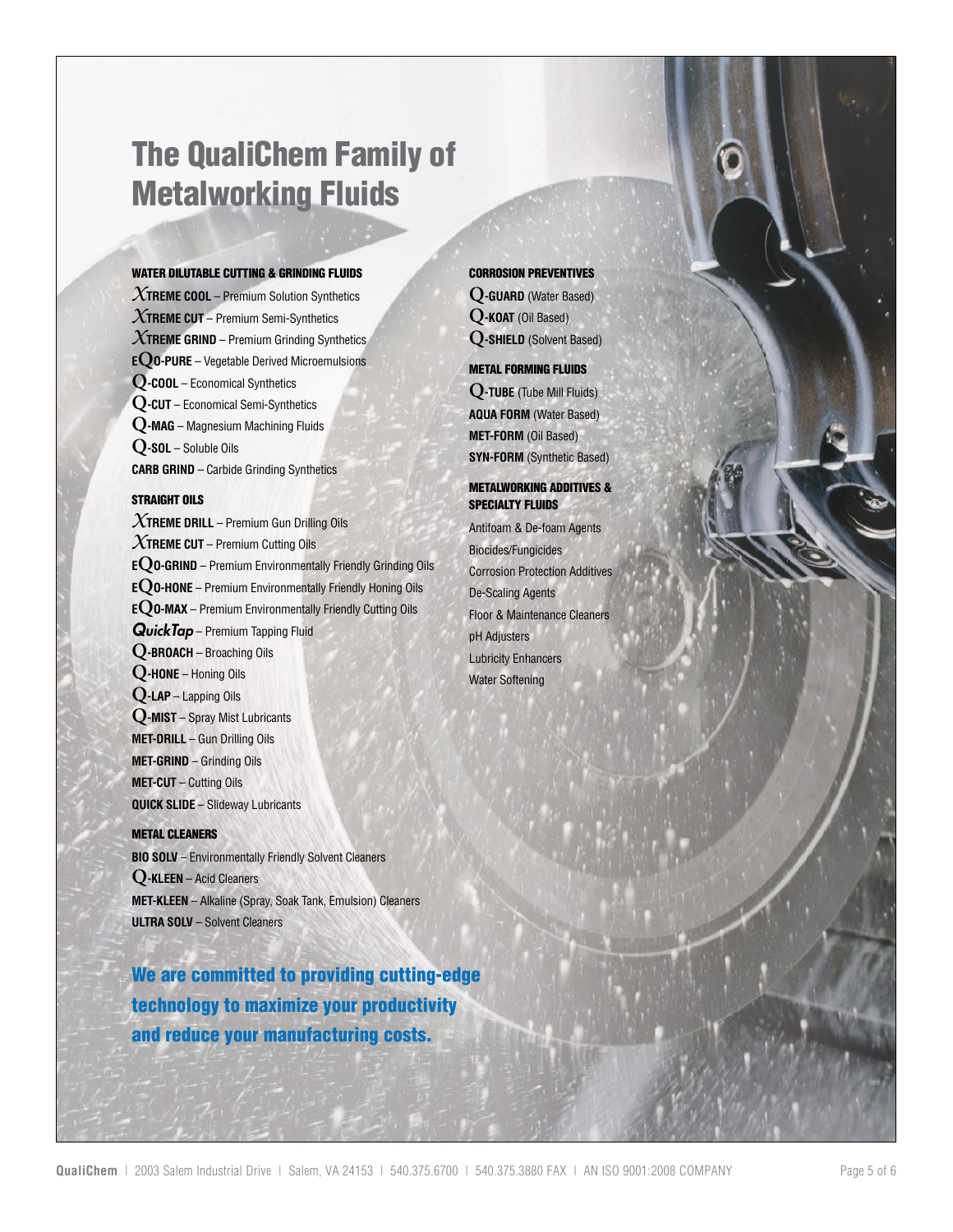### The QualiChem Family of Metalworking Fluids

#### WATER DILUTABLE CUTTING & GRINDING FLUIDS

*X***TREME COOL** – Premium Solution Synthetics *X***TREME CUT** – Premium Semi-Synthetics *X***TREME GRIND** – Premium Grinding Synthetics **<sup>E</sup>QO-PURE** – Vegetable Derived Microemulsions **Q-COOL** – Economical Synthetics **Q-CUT** – Economical Semi-Synthetics **Q-MAG** – Magnesium Machining Fluids **Q-SOL** – Soluble Oils **CARB GRIND** – Carbide Grinding Synthetics

#### STRAIGHT OILS

*X***TREME DRILL** – Premium Gun Drilling Oils *X***TREME CUT** – Premium Cutting Oils **<sup>E</sup>QO-GRIND** – Premium Environmentally Friendly Grinding Oils **<sup>E</sup>QO-HONE** – Premium Environmentally Friendly Honing Oils **<sup>E</sup>QO-MAX** – Premium Environmentally Friendly Cutting Oils *QuickTap* – Premium Tapping Fluid **Q-BROACH** – Broaching Oils **Q-HONE** – Honing Oils **Q-LAP** – Lapping Oils **Q-MIST** – Spray Mist Lubricants **MET-DRILL** – Gun Drilling Oils **MET-GRIND** – Grinding Oils **MET-CUT** – Cutting Oils **QUICK SLIDE** – Slideway Lubricants

#### METAL CLEANERS

**BIO SOLV** – Environmentally Friendly Solvent Cleaners **Q-KLEEN** – Acid Cleaners **MET-KLEEN** – Alkaline (Spray, Soak Tank, Emulsion) Cleaners **ULTRA SOLV** – Solvent Cleaners

We are committed to providing cutting-edge technology to maximize your productivity and reduce your manufacturing costs.

#### CORROSION PREVENTIVES

**Q-GUARD** (Water Based) **Q-KOAT** (Oil Based) **Q-SHIELD** (Solvent Based)

#### METAL FORMING FLUIDS

**Q-TUBE** (Tube Mill Fluids) **AQUA FORM** (Water Based) **MET-FORM** (Oil Based) **SYN-FORM** (Synthetic Based)

#### METALWORKING ADDITIVES & SPECIALTY FLUIDS

Antifoam & De-foam Agents Biocides/Fungicides Corrosion Protection Additives De-Scaling Agents Floor & Maintenance Cleaners pH Adjusters Lubricity Enhancers Water Softening